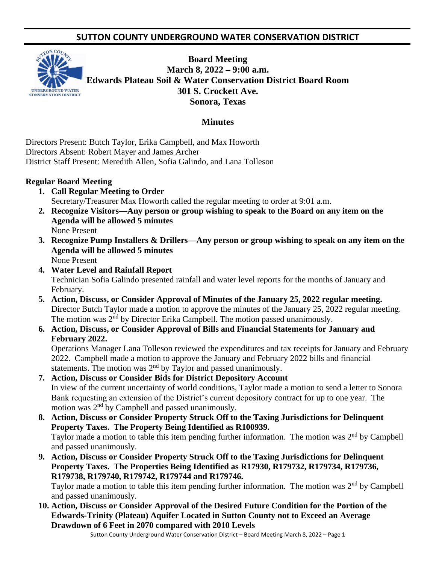# **SUTTON COUNTY UNDERGROUND WATER CONSERVATION DISTRICT**



**Board Meeting March 8, 2022 – 9:00 a.m. Edwards Plateau Soil & Water Conservation District Board Room 301 S. Crockett Ave. Sonora, Texas** 

## **Minutes**

Directors Present: Butch Taylor, Erika Campbell, and Max Howorth Directors Absent: Robert Mayer and James Archer District Staff Present: Meredith Allen, Sofia Galindo, and Lana Tolleson

#### **Regular Board Meeting**

- **1. Call Regular Meeting to Order** Secretary/Treasurer Max Howorth called the regular meeting to order at 9:01 a.m.
- **2. Recognize Visitors—Any person or group wishing to speak to the Board on any item on the Agenda will be allowed 5 minutes** None Present
- **3. Recognize Pump Installers & Drillers—Any person or group wishing to speak on any item on the Agenda will be allowed 5 minutes** None Present
- **4. Water Level and Rainfall Report** Technician Sofia Galindo presented rainfall and water level reports for the months of January and February.
- **5. Action, Discuss, or Consider Approval of Minutes of the January 25, 2022 regular meeting.** Director Butch Taylor made a motion to approve the minutes of the January 25, 2022 regular meeting. The motion was 2<sup>nd</sup> by Director Erika Campbell. The motion passed unanimously.
- **6. Action, Discuss, or Consider Approval of Bills and Financial Statements for January and February 2022.**

Operations Manager Lana Tolleson reviewed the expenditures and tax receipts for January and February 2022. Campbell made a motion to approve the January and February 2022 bills and financial statements. The motion was 2<sup>nd</sup> by Taylor and passed unanimously.

- **7. Action, Discuss or Consider Bids for District Depository Account** In view of the current uncertainty of world conditions, Taylor made a motion to send a letter to Sonora Bank requesting an extension of the District's current depository contract for up to one year. The motion was  $2<sup>nd</sup>$  by Campbell and passed unanimously.
- **8. Action, Discuss or Consider Property Struck Off to the Taxing Jurisdictions for Delinquent Property Taxes. The Property Being Identified as R100939.** Taylor made a motion to table this item pending further information. The motion was  $2<sup>nd</sup>$  by Campbell and passed unanimously.
- **9. Action, Discuss or Consider Property Struck Off to the Taxing Jurisdictions for Delinquent Property Taxes. The Properties Being Identified as R17930, R179732, R179734, R179736, R179738, R179740, R179742, R179744 and R179746.**

Taylor made a motion to table this item pending further information. The motion was  $2<sup>nd</sup>$  by Campbell and passed unanimously.

**10. Action, Discuss or Consider Approval of the Desired Future Condition for the Portion of the Edwards-Trinity (Plateau) Aquifer Located in Sutton County not to Exceed an Average Drawdown of 6 Feet in 2070 compared with 2010 Levels**